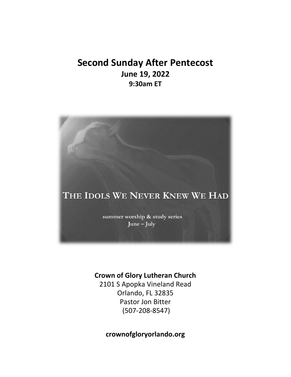# **Second Sunday After Pentecost June 19, 2022 9:30am ET**



### **Crown of Glory Lutheran Church**

2101 S Apopka Vineland Read Orlando, FL 32835 Pastor Jon Bitter (507-208-8547)

**crownofgloryorlando.org**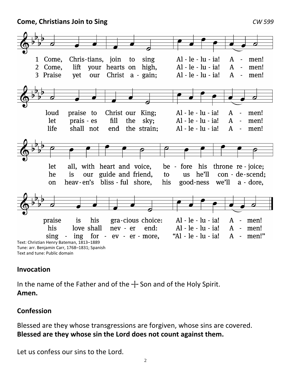**Come, Christians Join to Sing** *CW 599*



### **Invocation**

In the name of the Father and of the  $+$  Son and of the Holy Spirit. **Amen.**

### **Confession**

Blessed are they whose transgressions are forgiven, whose sins are covered. **Blessed are they whose sin the Lord does not count against them.**

Let us confess our sins to the Lord.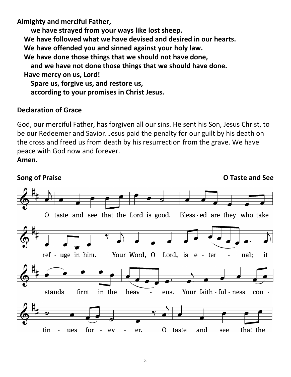**Almighty and merciful Father,** 

 **we have strayed from your ways like lost sheep. We have followed what we have devised and desired in our hearts. We have offended you and sinned against your holy law. We have done those things that we should not have done, and we have not done those things that we should have done. Have mercy on us, Lord! Spare us, forgive us, and restore us, according to your promises in Christ Jesus.**

### **Declaration of Grace**

God, our merciful Father, has forgiven all our sins. He sent his Son, Jesus Christ, to be our Redeemer and Savior. Jesus paid the penalty for our guilt by his death on the cross and freed us from death by his resurrection from the grave. We have peace with God now and forever. **Amen.**

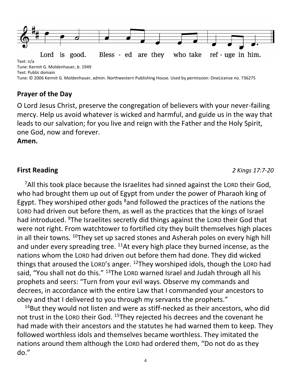

# **Prayer of the Day**

O Lord Jesus Christ, preserve the congregation of believers with your never-failing mercy. Help us avoid whatever is wicked and harmful, and guide us in the way that leads to our salvation; for you live and reign with the Father and the Holy Spirit, one God, now and forever.

**Amen.**

**First Reading** *2 Kings 17:7-20*

<sup>7</sup>All this took place because the Israelites had sinned against the LORD their God, who had brought them up out of Egypt from under the power of Pharaoh king of Egypt. They worshiped other gods  $8$  and followed the practices of the nations the LORD had driven out before them, as well as the practices that the kings of Israel had introduced. <sup>9</sup>The Israelites secretly did things against the LORD their God that were not right. From watchtower to fortified city they built themselves high places in all their towns.  $10$ They set up sacred stones and Asherah poles on every high hill and under every spreading tree.  $^{11}$ At every high place they burned incense, as the nations whom the LORD had driven out before them had done. They did wicked things that aroused the LORD's anger. <sup>12</sup>They worshiped idols, though the LORD had said, "You shall not do this." <sup>13</sup>The LORD warned Israel and Judah through all his prophets and seers: "Turn from your evil ways. Observe my commands and decrees, in accordance with the entire Law that I commanded your ancestors to obey and that I delivered to you through my servants the prophets."

<sup>14</sup>But they would not listen and were as stiff-necked as their ancestors, who did not trust in the LORD their God. <sup>15</sup>They rejected his decrees and the covenant he had made with their ancestors and the statutes he had warned them to keep. They followed worthless idols and themselves became worthless. They imitated the nations around them although the LORD had ordered them, "Do not do as they do."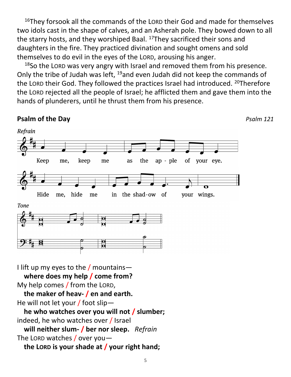<sup>16</sup>They forsook all the commands of the LORD their God and made for themselves two idols cast in the shape of calves, and an Asherah pole. They bowed down to all the starry hosts, and they worshiped Baal. <sup>17</sup>They sacrificed their sons and daughters in the fire. They practiced divination and sought omens and sold themselves to do evil in the eyes of the LORD, arousing his anger.

<sup>18</sup>So the LORD was very angry with Israel and removed them from his presence. Only the tribe of Judah was left, <sup>19</sup>and even Judah did not keep the commands of the LORD their God. They followed the practices Israel had introduced. <sup>20</sup>Therefore the LORD rejected all the people of Israel; he afflicted them and gave them into the hands of plunderers, until he thrust them from his presence.

## **Psalm of the Day** *Psalm 121*

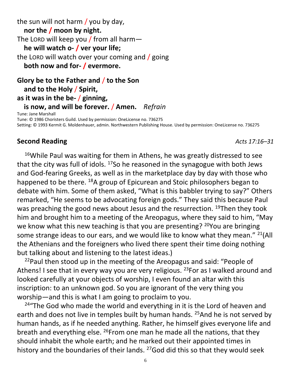the sun will not harm / you by day, **nor the / moon by night.** The LORD will keep you / from all harm  **he will watch o- / ver your life;** the LORD will watch over your coming and / going **both now and for- / evermore.**

**Glory be to the Father and** / **to the Son and to the Holy** / **Spirit, as it was in the be-** / **ginning, is now, and will be forever.** / **Amen.** *Refrain*

Tune: Jane Marshall Tune: © 1986 Choristers Guild. Used by permission: OneLicense no. 736275 Setting: © 1993 Kermit G. Moldenhauer, admin. Northwestern Publishing House. Used by permission: OneLicense no. 736275

# **Second Reading** *Acts 17:16–31*

<sup>16</sup>While Paul was waiting for them in Athens, he was greatly distressed to see that the city was full of idols.  $17$ So he reasoned in the synagogue with both Jews and God-fearing Greeks, as well as in the marketplace day by day with those who happened to be there. <sup>18</sup>A group of Epicurean and Stoic philosophers began to debate with him. Some of them asked, "What is this babbler trying to say?" Others remarked, "He seems to be advocating foreign gods." They said this because Paul was preaching the good news about Jesus and the resurrection. <sup>19</sup>Then they took him and brought him to a meeting of the Areopagus, where they said to him, "May we know what this new teaching is that you are presenting? <sup>20</sup>You are bringing some strange ideas to our ears, and we would like to know what they mean."  $^{21}($ All the Athenians and the foreigners who lived there spent their time doing nothing but talking about and listening to the latest ideas.)

<sup>22</sup>Paul then stood up in the meeting of the Areopagus and said: "People of Athens! I see that in every way you are very religious. <sup>23</sup> For as I walked around and looked carefully at your objects of worship, I even found an altar with this inscription: to an unknown god. So you are ignorant of the very thing you worship—and this is what I am going to proclaim to you.

 $24$ "The God who made the world and everything in it is the Lord of heaven and earth and does not live in temples built by human hands. <sup>25</sup>And he is not served by human hands, as if he needed anything. Rather, he himself gives everyone life and breath and everything else.  $^{26}$ From one man he made all the nations, that they should inhabit the whole earth; and he marked out their appointed times in history and the boundaries of their lands. <sup>27</sup>God did this so that they would seek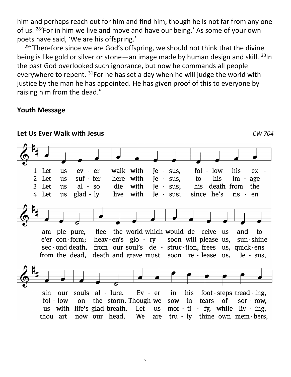him and perhaps reach out for him and find him, though he is not far from any one of us. <sup>28</sup>'For in him we live and move and have our being.' As some of your own poets have said, 'We are his offspring.'

 $29$ "Therefore since we are God's offspring, we should not think that the divine being is like gold or silver or stone—an image made by human design and skill.  $30$ In the past God overlooked such ignorance, but now he commands all people everywhere to repent. <sup>31</sup>For he has set a day when he will judge the world with justice by the man he has appointed. He has given proof of this to everyone by raising him from the dead."

### **Youth Message**

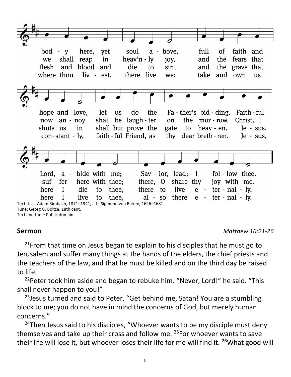

**Sermon** *Matthew 16:21-26*

 $21$ From that time on Jesus began to explain to his disciples that he must go to Jerusalem and suffer many things at the hands of the elders, the chief priests and the teachers of the law, and that he must be killed and on the third day be raised to life.

<sup>22</sup>Peter took him aside and began to rebuke him. "Never, Lord!" he said. "This shall never happen to you!"

<sup>23</sup> Jesus turned and said to Peter, "Get behind me, Satan! You are a stumbling block to me; you do not have in mind the concerns of God, but merely human concerns."

<sup>24</sup>Then Jesus said to his disciples, "Whoever wants to be my disciple must deny themselves and take up their cross and follow me. <sup>25</sup>For whoever wants to save their life will lose it, but whoever loses their life for me will find it. 26What good will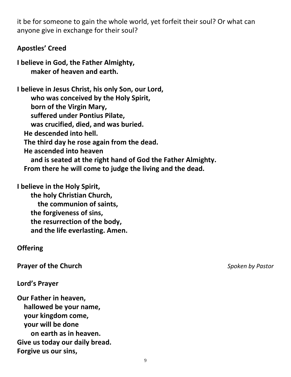it be for someone to gain the whole world, yet forfeit their soul? Or what can anyone give in exchange for their soul?

### **Apostles' Creed**

**I believe in God, the Father Almighty, maker of heaven and earth.**

**I believe in Jesus Christ, his only Son, our Lord, who was conceived by the Holy Spirit, born of the Virgin Mary, suffered under Pontius Pilate, was crucified, died, and was buried. He descended into hell. The third day he rose again from the dead. He ascended into heaven and is seated at the right hand of God the Father Almighty. From there he will come to judge the living and the dead.**

**I believe in the Holy Spirit,**

 **the holy Christian Church, the communion of saints, the forgiveness of sins, the resurrection of the body, and the life everlasting. Amen.**

### **Offering**

**Prayer of the Church** *Spoken by Pastor*

**Lord's Prayer**

**Our Father in heaven, hallowed be your name, your kingdom come, your will be done on earth as in heaven. Give us today our daily bread. Forgive us our sins,**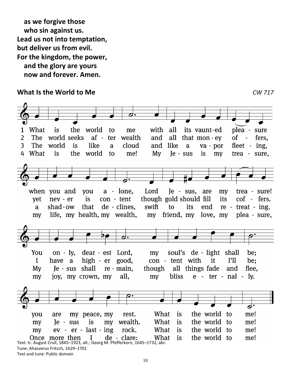**as we forgive those who sin against us. Lead us not into temptation, but deliver us from evil. For the kingdom, the power, and the glory are yours now and forever. Amen.**

### **What Is the World to Me** *CW 717*

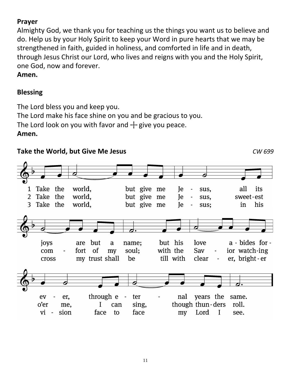# **Prayer**

Almighty God, we thank you for teaching us the things you want us to believe and do. Help us by your Holy Spirit to keep your Word in pure hearts that we may be strengthened in faith, guided in holiness, and comforted in life and in death, through Jesus Christ our Lord, who lives and reigns with you and the Holy Spirit, one God, now and forever.

**Amen.**

# **Blessing**

The Lord bless you and keep you. The Lord make his face shine on you and be gracious to you. The Lord look on you with favor and  $+$  give you peace. **Amen.**

# **Take the World, but Give Me Jesus** *CW 699*